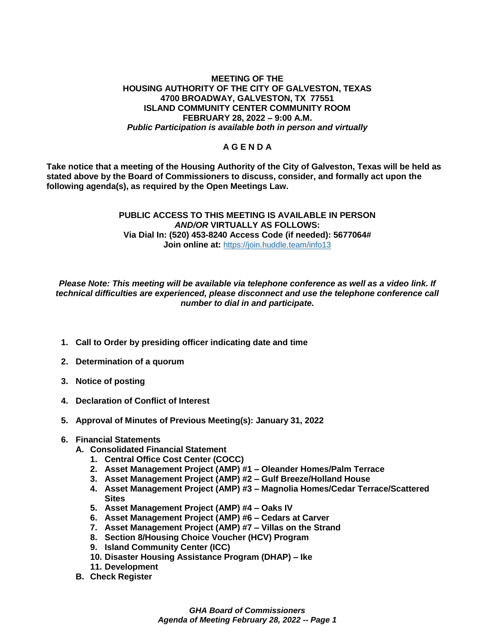## **MEETING OF THE HOUSING AUTHORITY OF THE CITY OF GALVESTON, TEXAS 4700 BROADWAY, GALVESTON, TX 77551 ISLAND COMMUNITY CENTER COMMUNITY ROOM FEBRUARY 28, 2022 – 9:00 A.M.** *Public Participation is available both in person and virtually*

## **A G E N D A**

**Take notice that a meeting of the Housing Authority of the City of Galveston, Texas will be held as stated above by the Board of Commissioners to discuss, consider, and formally act upon the following agenda(s), as required by the Open Meetings Law.** 

## **PUBLIC ACCESS TO THIS MEETING IS AVAILABLE IN PERSON**  *AND/OR* **VIRTUALLY AS FOLLOWS: Via Dial In: (520) 453-8240 Access Code (if needed): 5677064# Join online at: <https://join.huddle.team/info13>**

*Please Note: This meeting will be available via telephone conference as well as a video link. If technical difficulties are experienced, please disconnect and use the telephone conference call number to dial in and participate.*

- **1. Call to Order by presiding officer indicating date and time**
- **2. Determination of a quorum**
- **3. Notice of posting**
- **4. Declaration of Conflict of Interest**
- **5. Approval of Minutes of Previous Meeting(s): January 31, 2022**
- **6. Financial Statements**
	- **A. Consolidated Financial Statement**
		- **1. Central Office Cost Center (COCC)**
		- **2. Asset Management Project (AMP) #1 – Oleander Homes/Palm Terrace**
		- **3. Asset Management Project (AMP) #2 – Gulf Breeze/Holland House**
		- **4. Asset Management Project (AMP) #3 – Magnolia Homes/Cedar Terrace/Scattered Sites**
		- **5. Asset Management Project (AMP) #4 – Oaks IV**
		- **6. Asset Management Project (AMP) #6 – Cedars at Carver**
		- **7. Asset Management Project (AMP) #7 – Villas on the Strand**
		- **8. Section 8/Housing Choice Voucher (HCV) Program**
		- **9. Island Community Center (ICC)**
		- **10. Disaster Housing Assistance Program (DHAP) – Ike**
		- **11. Development**
	- **B. Check Register**